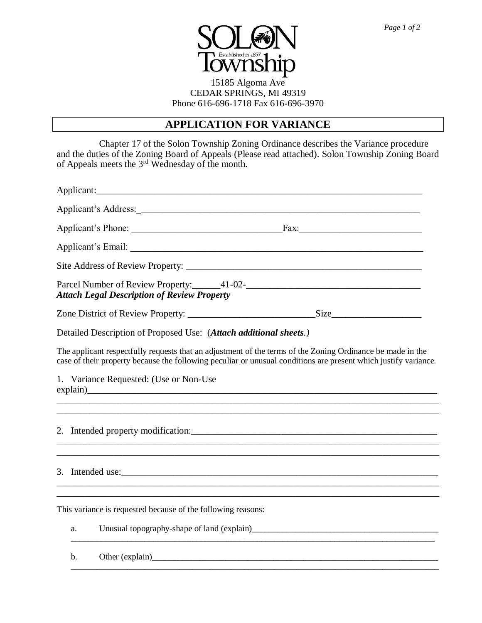

### 15185 Algoma Ave CEDAR SPRINGS, MI 49319 Phone 616-696-1718 Fax 616-696-3970

## **APPLICATION FOR VARIANCE**

Chapter 17 of the Solon Township Zoning Ordinance describes the Variance procedure and the duties of the Zoning Board of Appeals (Please read attached). Solon Township Zoning Board of Appeals meets the 3<sup>rd</sup> Wednesday of the month.

|    | Applicant:                                                                                                                                                                                                                                                                 |
|----|----------------------------------------------------------------------------------------------------------------------------------------------------------------------------------------------------------------------------------------------------------------------------|
|    |                                                                                                                                                                                                                                                                            |
|    |                                                                                                                                                                                                                                                                            |
|    |                                                                                                                                                                                                                                                                            |
|    |                                                                                                                                                                                                                                                                            |
|    | Parcel Number of Review Property: 41-02-<br>2022 - Allen Mumber of Review Property: 41-02-<br><b>Attach Legal Description of Review Property</b>                                                                                                                           |
|    |                                                                                                                                                                                                                                                                            |
|    | Detailed Description of Proposed Use: (Attach additional sheets.)                                                                                                                                                                                                          |
|    | The applicant respectfully requests that an adjustment of the terms of the Zoning Ordinance be made in the<br>case of their property because the following peculiar or unusual conditions are present which justify variance.                                              |
|    | 1. Variance Requested: (Use or Non-Use<br>explain)<br>explain and the contract of the contract of the contract of the contract of the contract of the contract of the contract of the contract of the contract of the contract of the contract of the contract of the cont |
|    |                                                                                                                                                                                                                                                                            |
|    | 3. Intended use:<br>,我们也不能在这里的时候,我们也不能在这里的时候,我们也不能会在这里的时候,我们也不能会在这里的时候,我们也不能会在这里的时候,我们也不能会在这里的时候,我们也不                                                                                                                                                                      |
|    | This variance is requested because of the following reasons:                                                                                                                                                                                                               |
| a. |                                                                                                                                                                                                                                                                            |
| b. | Other (explain)<br><u>Other (explain)</u>                                                                                                                                                                                                                                  |